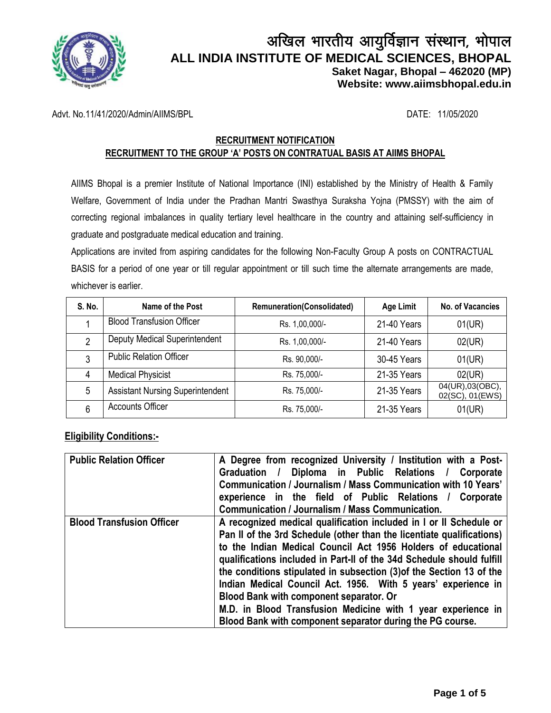

# अखिल भारतीय आयुर्विज्ञान संस्थान, भोपाल **ALL INDIA INSTITUTE OF MEDICAL SCIENCES, BHOPAL Saket Nagar, Bhopal – 462020 (MP) Website: [www.aiimsbhopal.edu.in](http://www.aiimsbhopal.edu.in/)**

Advt. No.11/41/2020/Admin/AIIMS/BPL DATE: 11/05/2020

#### **RECRUITMENT NOTIFICATION RECRUITMENT TO THE GROUP 'A' POSTS ON CONTRATUAL BASIS AT AIIMS BHOPAL**

AIIMS Bhopal is a premier Institute of National Importance (INI) established by the Ministry of Health & Family Welfare, Government of India under the Pradhan Mantri Swasthya Suraksha Yojna (PMSSY) with the aim of correcting regional imbalances in quality tertiary level healthcare in the country and attaining self-sufficiency in graduate and postgraduate medical education and training.

Applications are invited from aspiring candidates for the following Non-Faculty Group A posts on CONTRACTUAL BASIS for a period of one year or till regular appointment or till such time the alternate arrangements are made, whichever is earlier.

| S. No. | Name of the Post                        | <b>Remuneration(Consolidated)</b> | <b>Age Limit</b> | No. of Vacancies                   |
|--------|-----------------------------------------|-----------------------------------|------------------|------------------------------------|
|        | <b>Blood Transfusion Officer</b>        | Rs. 1,00,000/-                    | 21-40 Years      | 01(UR)                             |
| C      | Deputy Medical Superintendent           | Rs. 1,00,000/-                    | 21-40 Years      | 02(UR)                             |
| 3      | <b>Public Relation Officer</b>          | Rs. 90,000/-                      | 30-45 Years      | 01(UR)                             |
| 4      | <b>Medical Physicist</b>                | Rs. 75,000/-                      | 21-35 Years      | 02(UR)                             |
| 5      | <b>Assistant Nursing Superintendent</b> | Rs. 75,000/-                      | 21-35 Years      | 04(UR),03(OBC),<br>02(SC), 01(EWS) |
| 6      | <b>Accounts Officer</b>                 | Rs. 75,000/-                      | 21-35 Years      | 01(UR)                             |

#### **Eligibility Conditions:-**

| <b>Public Relation Officer</b>   | A Degree from recognized University / Institution with a Post-        |  |  |
|----------------------------------|-----------------------------------------------------------------------|--|--|
|                                  | Diploma in Public Relations / Corporate<br>Graduation /               |  |  |
|                                  | Communication / Journalism / Mass Communication with 10 Years'        |  |  |
|                                  | experience in the field of Public Relations / Corporate               |  |  |
|                                  | Communication / Journalism / Mass Communication.                      |  |  |
| <b>Blood Transfusion Officer</b> | A recognized medical qualification included in I or II Schedule or    |  |  |
|                                  | Pan II of the 3rd Schedule (other than the licentiate qualifications) |  |  |
|                                  | to the Indian Medical Council Act 1956 Holders of educational         |  |  |
|                                  | qualifications included in Part-II of the 34d Schedule should fulfill |  |  |
|                                  | the conditions stipulated in subsection (3) of the Section 13 of the  |  |  |
|                                  | Indian Medical Council Act. 1956. With 5 years' experience in         |  |  |
|                                  | Blood Bank with component separator. Or                               |  |  |
|                                  | M.D. in Blood Transfusion Medicine with 1 year experience in          |  |  |
|                                  | Blood Bank with component separator during the PG course.             |  |  |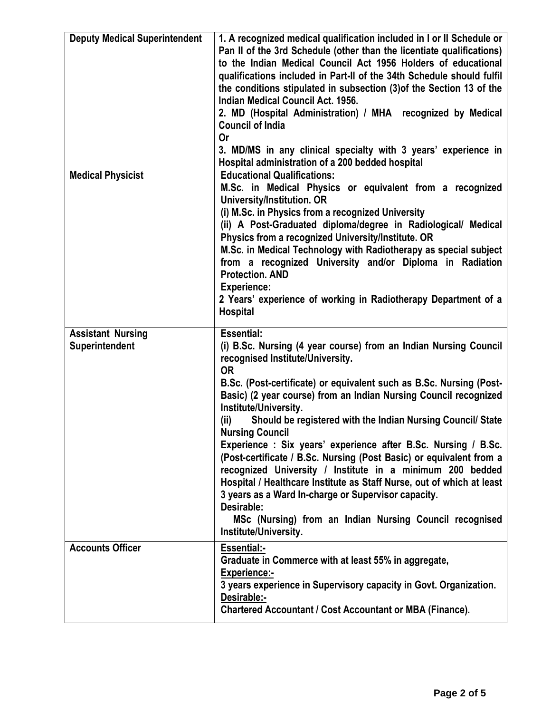| <b>Deputy Medical Superintendent</b>       | 1. A recognized medical qualification included in I or II Schedule or<br>Pan II of the 3rd Schedule (other than the licentiate qualifications)<br>to the Indian Medical Council Act 1956 Holders of educational<br>qualifications included in Part-II of the 34th Schedule should fulfil<br>the conditions stipulated in subsection (3) of the Section 13 of the<br>Indian Medical Council Act. 1956.<br>2. MD (Hospital Administration) / MHA recognized by Medical<br><b>Council of India</b><br>Or<br>3. MD/MS in any clinical specialty with 3 years' experience in<br>Hospital administration of a 200 bedded hospital                                                                                                                                                                                                                        |
|--------------------------------------------|----------------------------------------------------------------------------------------------------------------------------------------------------------------------------------------------------------------------------------------------------------------------------------------------------------------------------------------------------------------------------------------------------------------------------------------------------------------------------------------------------------------------------------------------------------------------------------------------------------------------------------------------------------------------------------------------------------------------------------------------------------------------------------------------------------------------------------------------------|
| <b>Medical Physicist</b>                   | <b>Educational Qualifications:</b><br>M.Sc. in Medical Physics or equivalent from a recognized<br>University/Institution. OR<br>(i) M.Sc. in Physics from a recognized University<br>(ii) A Post-Graduated diploma/degree in Radiological/ Medical<br>Physics from a recognized University/Institute. OR<br>M.Sc. in Medical Technology with Radiotherapy as special subject<br>from a recognized University and/or Diploma in Radiation<br><b>Protection. AND</b><br><b>Experience:</b><br>2 Years' experience of working in Radiotherapy Department of a<br><b>Hospital</b>                                                                                                                                                                                                                                                                      |
| <b>Assistant Nursing</b><br>Superintendent | <b>Essential:</b><br>(i) B.Sc. Nursing (4 year course) from an Indian Nursing Council<br>recognised Institute/University.<br><b>OR</b><br>B.Sc. (Post-certificate) or equivalent such as B.Sc. Nursing (Post-<br>Basic) (2 year course) from an Indian Nursing Council recognized<br>Institute/University.<br>Should be registered with the Indian Nursing Council/ State<br>(ii)<br><b>Nursing Council</b><br>Experience: Six years' experience after B.Sc. Nursing / B.Sc.<br>(Post-certificate / B.Sc. Nursing (Post Basic) or equivalent from a<br>recognized University / Institute in a minimum 200 bedded<br>Hospital / Healthcare Institute as Staff Nurse, out of which at least<br>3 years as a Ward In-charge or Supervisor capacity.<br>Desirable:<br>MSc (Nursing) from an Indian Nursing Council recognised<br>Institute/University. |
| <b>Accounts Officer</b>                    | <b>Essential:-</b><br>Graduate in Commerce with at least 55% in aggregate,<br><b>Experience:-</b><br>3 years experience in Supervisory capacity in Govt. Organization.<br>Desirable:-<br><b>Chartered Accountant / Cost Accountant or MBA (Finance).</b>                                                                                                                                                                                                                                                                                                                                                                                                                                                                                                                                                                                           |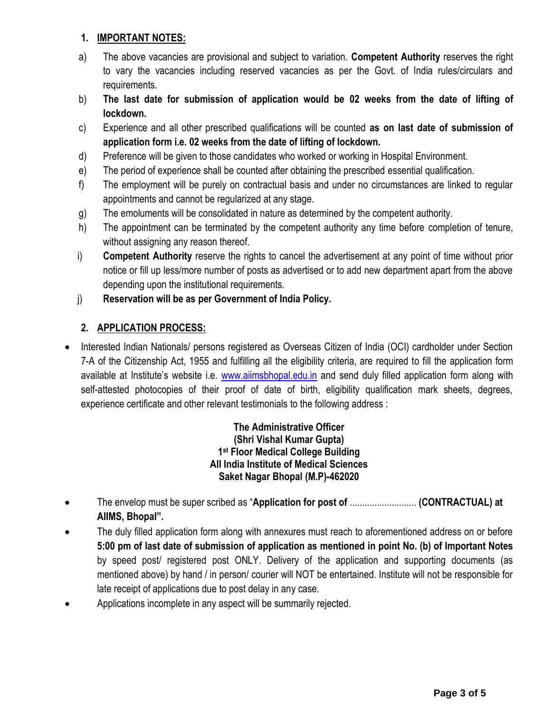## **1. IMPORTANT NOTES:**

- a) The above vacancies are provisional and subject to variation. **Competent Authority** reserves the right to vary the vacancies including reserved vacancies as per the Govt. of India rules/circulars and requirements.
- b) **The last date for submission of application would be 02 weeks from the date of lifting of lockdown.**
- c) Experience and all other prescribed qualifications will be counted **as on last date of submission of application form i.e. 02 weeks from the date of lifting of lockdown.**
- d) Preference will be given to those candidates who worked or working in Hospital Environment.
- e) The period of experience shall be counted after obtaining the prescribed essential qualification.
- f) The employment will be purely on contractual basis and under no circumstances are linked to regular appointments and cannot be regularized at any stage.
- g) The emoluments will be consolidated in nature as determined by the competent authority.
- h) The appointment can be terminated by the competent authority any time before completion of tenure, without assigning any reason thereof.
- i) **Competent Authority** reserve the rights to cancel the advertisement at any point of time without prior notice or fill up less/more number of posts as advertised or to add new department apart from the above depending upon the institutional requirements.
- j) **Reservation will be as per Government of India Policy.**

## **2. APPLICATION PROCESS:**

• Interested Indian Nationals/ persons registered as Overseas Citizen of India (OCI) cardholder under Section 7-A of the Citizenship Act, 1955 and fulfilling all the eligibility criteria, are required to fill the application form available at Institute's website i.e. [www.aiimsbhopal.edu.in](http://www.aiimsbhopal.edu.in/) and send duly filled application form along with self-attested photocopies of their proof of date of birth, eligibility qualification mark sheets, degrees, experience certificate and other relevant testimonials to the following address :

> **The Administrative Officer (Shri Vishal Kumar Gupta) 1 st Floor Medical College Building All India Institute of Medical Sciences Saket Nagar Bhopal (M.P)-462020**

- The envelop must be super scribed as "**Application for post of** ........................... **(CONTRACTUAL) at AIIMS, Bhopal".**
- The duly filled application form along with annexures must reach to aforementioned address on or before **5:00 pm of last date of submission of application as mentioned in point No. (b) of Important Notes** by speed post/ registered post ONLY. Delivery of the application and supporting documents (as mentioned above) by hand / in person/ courier will NOT be entertained. Institute will not be responsible for late receipt of applications due to post delay in any case.
- Applications incomplete in any aspect will be summarily rejected.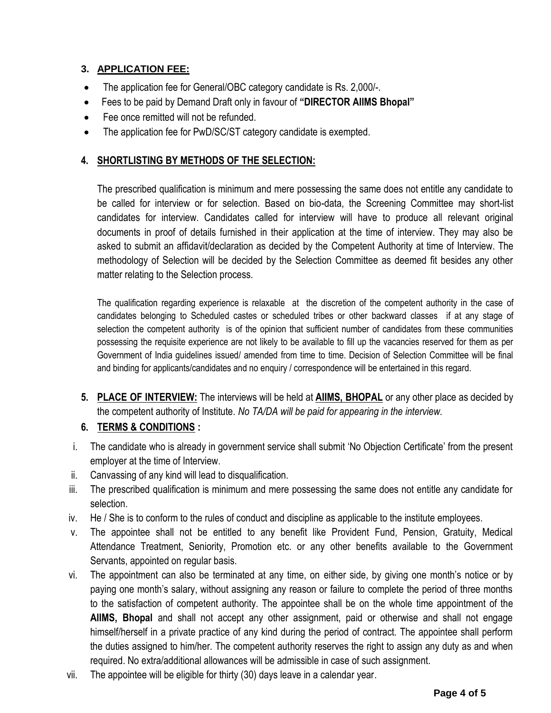## **3. APPLICATION FEE:**

- The application fee for General/OBC category candidate is Rs. 2,000/-.
- Fees to be paid by Demand Draft only in favour of **"DIRECTOR AIIMS Bhopal"**
- Fee once remitted will not be refunded.
- The application fee for PwD/SC/ST category candidate is exempted.

## **4. SHORTLISTING BY METHODS OF THE SELECTION:**

The prescribed qualification is minimum and mere possessing the same does not entitle any candidate to be called for interview or for selection. Based on bio-data, the Screening Committee may short-list candidates for interview. Candidates called for interview will have to produce all relevant original documents in proof of details furnished in their application at the time of interview. They may also be asked to submit an affidavit/declaration as decided by the Competent Authority at time of Interview. The methodology of Selection will be decided by the Selection Committee as deemed fit besides any other matter relating to the Selection process.

The qualification regarding experience is relaxable at the discretion of the competent authority in the case of candidates belonging to Scheduled castes or scheduled tribes or other backward classes if at any stage of selection the competent authority is of the opinion that sufficient number of candidates from these communities possessing the requisite experience are not likely to be available to fill up the vacancies reserved for them as per Government of India guidelines issued/ amended from time to time. Decision of Selection Committee will be final and binding for applicants/candidates and no enquiry / correspondence will be entertained in this regard.

**5. PLACE OF INTERVIEW:** The interviews will be held at **AIIMS, BHOPAL** or any other place as decided by the competent authority of Institute. *No TA/DA will be paid for appearing in the interview.*

#### **6. TERMS & CONDITIONS :**

- i. The candidate who is already in government service shall submit 'No Objection Certificate' from the present employer at the time of Interview.
- ii. Canvassing of any kind will lead to disqualification.
- iii. The prescribed qualification is minimum and mere possessing the same does not entitle any candidate for selection.
- iv. He / She is to conform to the rules of conduct and discipline as applicable to the institute employees.
- v. The appointee shall not be entitled to any benefit like Provident Fund, Pension, Gratuity, Medical Attendance Treatment, Seniority, Promotion etc. or any other benefits available to the Government Servants, appointed on regular basis.
- vi. The appointment can also be terminated at any time, on either side, by giving one month's notice or by paying one month's salary, without assigning any reason or failure to complete the period of three months to the satisfaction of competent authority. The appointee shall be on the whole time appointment of the **AIIMS, Bhopal** and shall not accept any other assignment, paid or otherwise and shall not engage himself/herself in a private practice of any kind during the period of contract. The appointee shall perform the duties assigned to him/her. The competent authority reserves the right to assign any duty as and when required. No extra/additional allowances will be admissible in case of such assignment.
- vii. The appointee will be eligible for thirty (30) days leave in a calendar year.